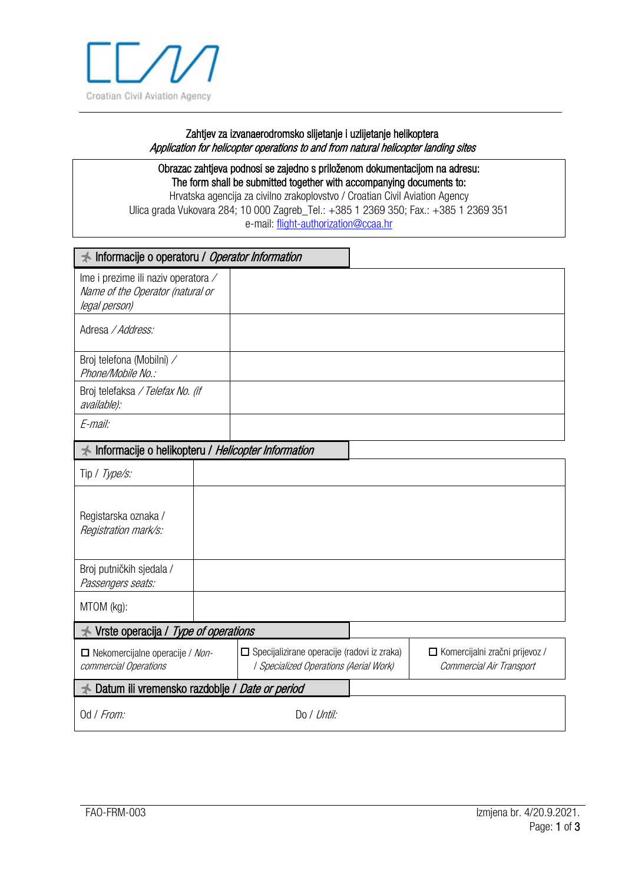

## Zahtjev za izvanaerodromsko slijetanje i uzlijetanje helikoptera Application for helicopter operations to and from natural helicopter landing sites

Obrazac zahtjeva podnosi se zajedno s priloženom dokumentacijom na adresu: The form shall be submitted together with accompanying documents to: Hrvatska agencija za civilno zrakoplovstvo / Croatian Civil Aviation Agency

Ulica grada Vukovara 284; 10 000 Zagreb\_Tel.: +385 1 2369 350; Fax.: +385 1 2369 351 e-mail: [flight-authorization@ccaa.hr](mailto:flight-authorization@ccaa.hr)

| Informacije o operatoru / Operator Information                                           |  |                                                                                         |  |                                                              |  |
|------------------------------------------------------------------------------------------|--|-----------------------------------------------------------------------------------------|--|--------------------------------------------------------------|--|
| Ime i prezime ili naziv operatora /<br>Name of the Operator (natural or<br>legal person) |  |                                                                                         |  |                                                              |  |
| Adresa / Address:                                                                        |  |                                                                                         |  |                                                              |  |
| Broj telefona (Mobilni) /<br>Phone/Mobile No.:                                           |  |                                                                                         |  |                                                              |  |
| Broj telefaksa / Telefax No. (if<br>available):                                          |  |                                                                                         |  |                                                              |  |
| E-mail:                                                                                  |  |                                                                                         |  |                                                              |  |
| Informacije o helikopteru / Helicopter Information                                       |  |                                                                                         |  |                                                              |  |
| Tip / Type/s:                                                                            |  |                                                                                         |  |                                                              |  |
| Registarska oznaka /<br>Registration mark/s:                                             |  |                                                                                         |  |                                                              |  |
| Broj putničkih sjedala /<br>Passengers seats:                                            |  |                                                                                         |  |                                                              |  |
| MTOM (kg):                                                                               |  |                                                                                         |  |                                                              |  |
| Vrste operacija / Type of operations                                                     |  |                                                                                         |  |                                                              |  |
| Nekomercijalne operacije / Non-<br>commercial Operations                                 |  | □ Specijalizirane operacije (radovi iz zraka)<br>  Specialized Operations (Aerial Work) |  | □ Komercijalni zračni prijevoz /<br>Commercial Air Transport |  |
| Datum ili vremensko razdoblje / Date or period                                           |  |                                                                                         |  |                                                              |  |
| Od / From:                                                                               |  | Do / Until:                                                                             |  |                                                              |  |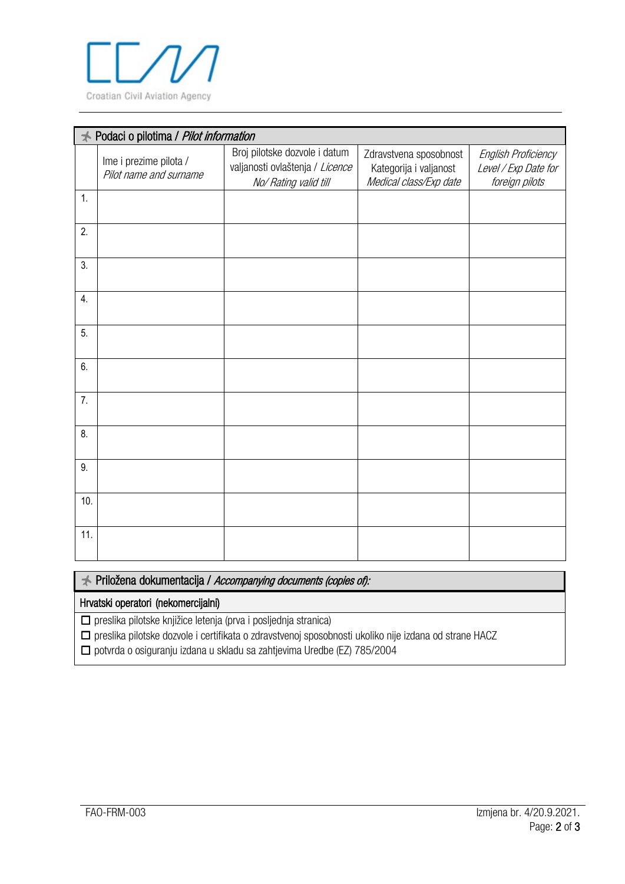

| Podaci o pilotima / Pilot information |                                                  |                                                                                           |                                                                            |                                                               |  |  |
|---------------------------------------|--------------------------------------------------|-------------------------------------------------------------------------------------------|----------------------------------------------------------------------------|---------------------------------------------------------------|--|--|
|                                       | Ime i prezime pilota /<br>Pilot name and surname | Broj pilotske dozvole i datum<br>valjanosti ovlaštenja / Licence<br>No/ Rating valid till | Zdravstvena sposobnost<br>Kategorija i valjanost<br>Medical class/Exp date | English Proficiency<br>Level / Exp Date for<br>foreign pilots |  |  |
| 1.                                    |                                                  |                                                                                           |                                                                            |                                                               |  |  |
| 2.                                    |                                                  |                                                                                           |                                                                            |                                                               |  |  |
| 3.                                    |                                                  |                                                                                           |                                                                            |                                                               |  |  |
| 4.                                    |                                                  |                                                                                           |                                                                            |                                                               |  |  |
| 5.                                    |                                                  |                                                                                           |                                                                            |                                                               |  |  |
| 6.                                    |                                                  |                                                                                           |                                                                            |                                                               |  |  |
| 7.                                    |                                                  |                                                                                           |                                                                            |                                                               |  |  |
| 8.                                    |                                                  |                                                                                           |                                                                            |                                                               |  |  |
| 9.                                    |                                                  |                                                                                           |                                                                            |                                                               |  |  |
| 10.                                   |                                                  |                                                                                           |                                                                            |                                                               |  |  |
| 11.                                   |                                                  |                                                                                           |                                                                            |                                                               |  |  |

Priložena dokumentacija / Accompanying documents (copies of):

## Hrvatski operatori (nekomercijalni)

☐ preslika pilotske knjižice letenja (prva i posljednja stranica)

☐ preslika pilotske dozvole i certifikata o zdravstvenoj sposobnosti ukoliko nije izdana od strane HACZ

☐ potvrda o osiguranju izdana u skladu sa zahtjevima Uredbe (EZ) 785/2004